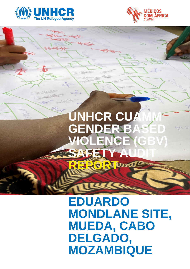



# **UNHCR CUAM GENDER BASE VIOLENCE (GB** SAFETY **AUDIT REFORM**

## **EDUARDO MONDLANE SITE, MUEDA, CABO DELGADO, MOZAMBIQUE**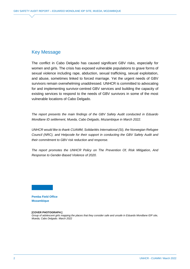#### Key Message

The conflict in Cabo Delgado has caused significant GBV risks, especially for women and girls. The crisis has exposed vulnerable populations to grave forms of sexual violence including rape, abduction, sexual trafficking, sexual exploitation, and abuse, sometimes linked to forced marriage. Yet the urgent needs of GBV survivors remain overwhelming unaddressed. UNHCR is committed to advocating for and implementing survivor-centred GBV services and building the capacity of existing services to respond to the needs of GBV survivors in some of the most vulnerable locations of Cabo Delgado.

*The report presents the main findings of the GBV Safety Audit conducted in Eduardo Mondlane ID settlement, Mueda, Cabo Delgado, Mozambique in March 2022.* 

*UNHCR would like to thank CUAMM, Solidarités International (SI), the Norwegian Refugee Council (NRC), and Helpcode for their support in conducting the GBV Safety Audit and their commitment to GBV risk reduction and response.*

*The report promotes the UNHCR Policy on The Prevention Of, Risk Mitigation, And Response to Gender-Based Violence of 2020.* 

**Pemba Field Office Mozambique**

#### **[COVER PHOTOGRAPH:]**

*Group of adolescent girls mapping the places that they consider safe and unsafe in Eduardo Mondlane IDP site, Mueda, Cabo Delgado. March 2022*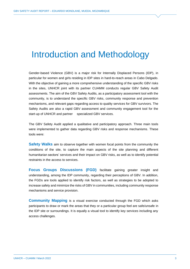#### Introduction and Methodology

Gender-based Violence (GBV) is a major risk for Internally Displaced Persons (IDP), in particular for women and girls residing in IDP sites in hard-to-reach areas in Cabo Delgado. With the objective of gaining a more comprehensive understanding of the specific GBV risks in the sites, UNHCR joint with its partner CUAMM conducts regular GBV Safety Audit assessments. The aim of the GBV Safety Audits, as a participatory assessment tool with the community, is to understand the specific GBV risks, community response and prevention mechanisms, and relevant gaps regarding access to quality services for GBV survivors. The Safety Audits are also a rapid GBV assessment and community engagement tool for the start-up of UNHCR and partner specialized GBV services.

The GBV Safety Audit applied a qualitative and participatory approach. Three main tools were implemented to gather data regarding GBV risks and response mechanisms. These tools were:

**Safety Walks** aim to observe together with women focal points from the community the conditions of the site, to capture the main aspects of the site planning and different humanitarian sectors' services and their impact on GBV risks, as well as to identify potential restraints in the access to services.

**Focus Groups Discussions (FGD)** facilitate gaining greater insight and understanding, among the IDP community, regarding their perceptions of GBV. In addition, the FGDs are tools applied to identify risk factors, as well as strategies to be adopted to increase safety and minimize the risks of GBV in communities, including community response mechanisms and service provision.

**Community Mapping** is a visual exercise conducted through the FGD which asks participants to draw or mark the areas that they or a particular group feel are safe/unsafe in the IDP site or surroundings. It is equally a visual tool to identify key services including any access challenges.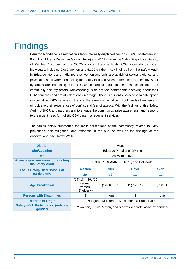### **Findings**

Eduardo Mondlane is a relocation site for internally displaced persons (IDPs) located around 9 km from Mueda District *sede* (main town) and 414 km from the Cabo Delgado capital city of Pemba. According to the CCCM Cluster, the site hosts 9,290 internally displaced individuals, including 2,082 women and 5,390 children. Key findings from the Safety Audit in Eduardo Mondlane indicated that women and girls are at risk of sexual violence and physical assault when conducting their daily tasks/activities in the site. The security wider dynamics are increasing risks of GBV, in particular due to the presence of local and community security actors. Adolescent girls do not feel comfortable speaking about their GBV concerns and are at risk of early marriage. There is currently no access to safe space or specialized GBV services in the site, there are also significant PSS needs of women and girls due to their experiences of conflict and fear of attacks. With the findings of this Safety Audit, UNHCR and partners aim to engage the community, raise awareness, and respond to the urgent need for holistic GBV case management services.

The tables below summarize the main perceptions of the community related to GBV prevention, risk mitigation, and response in the site, as well as the findings of the observational site Safety Walk.

| <b>District</b>                                              | Mueda                                                          |                |                   |                |
|--------------------------------------------------------------|----------------------------------------------------------------|----------------|-------------------|----------------|
| <b>Site/Location</b>                                         | Eduardo Mondlane IDP site                                      |                |                   |                |
| <b>Date</b>                                                  | 24 March 2022                                                  |                |                   |                |
| <b>Agencies/organizations conducting</b><br>the Safety Audit | UNHCR, CUAMM, SI, NRC, and Helpcode                            |                |                   |                |
| <b>Focus Group Discussion # of</b>                           | <b>Women</b>                                                   | <b>Men</b>     | <b>Boys</b>       | <b>Girls</b>   |
| participants                                                 | 20                                                             | $12 \,$        | $12 \ \mathsf{ }$ | 13             |
| <b>Age Breakdown</b>                                         | $(17)$ 18 - 59, (10<br>pregnant<br>women,<br>$(3)$ elderly)    | $(12)$ 18 - 59 | $(12)$ 12 - 17    | $(13)$ 12 - 17 |
| <b>Persons with Disabilities</b>                             |                                                                | none           |                   | none           |
| <b>Districts of Origin</b>                                   | Nangade, Muidumbe, Mocimboa da Praia, Palma                    |                |                   |                |
| <b>Safety-Walk Participation (indicate</b><br>gender)        | 2 women, 5 girls, 5 men, and 6 boys (separate walks by gender) |                |                   |                |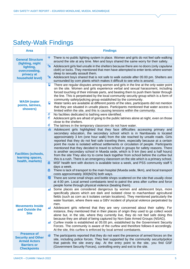#### Safety-Walk Findings

| <b>Area</b>                                                                                                        | <b>Findings</b>                                                                                                                                                                                                                                                                                                                                                                                                                                                                                                                                                                                                                                                                                                                                                                                                                                                                                                                                                |  |  |
|--------------------------------------------------------------------------------------------------------------------|----------------------------------------------------------------------------------------------------------------------------------------------------------------------------------------------------------------------------------------------------------------------------------------------------------------------------------------------------------------------------------------------------------------------------------------------------------------------------------------------------------------------------------------------------------------------------------------------------------------------------------------------------------------------------------------------------------------------------------------------------------------------------------------------------------------------------------------------------------------------------------------------------------------------------------------------------------------|--|--|
| <b>General Structure</b><br>(lighting, night                                                                       | 挙<br>There is no public lighting system in place. Women and girls do not feel safe walking<br>around the site at any time. Men and boys shared the same worry for their safety.                                                                                                                                                                                                                                                                                                                                                                                                                                                                                                                                                                                                                                                                                                                                                                                |  |  |
| lighting,<br>overcrowding,<br>privacy at<br>household level)                                                       | 'n<br>Adolescent girls feel unsafe in the shelters because there are no doors (only capulana<br>cloth) or locks. They mentioned that men have attempted to enter tents where women<br>sleep to sexually assault them.<br>'n<br>Adolescent boys shared that is not safe to walk outside after 05:00 pm. Shelters are<br>surrounded by corn plants which makes it difficult to see who is around.                                                                                                                                                                                                                                                                                                                                                                                                                                                                                                                                                                |  |  |
| <b>WASH</b> (water<br>points, latrines,<br>showers)                                                                | Р<br>There are regular disputes among women and girls in the line at the only water point<br>on the site. Women and girls experience verbal and sexual harassment, including<br>forced touching of their intimate parts, and beating them to push them faster through<br>the line. This is perpetrated by the local community security group which is a form of<br>community safety/policing group established by the community.<br>Ч<br>Water tanks are available at different points of the sites, participants did not mention<br>that they are situated in unsafe places. Participants mentioned that water access is<br>limited within the site, and this is causing tensions within the community.                                                                                                                                                                                                                                                       |  |  |
|                                                                                                                    | €<br>No facilities dedicated to bathing were identified.<br>€<br>Adolescent girls are afraid of going to the public latrines alone at night, even on those<br>close to the shelters.                                                                                                                                                                                                                                                                                                                                                                                                                                                                                                                                                                                                                                                                                                                                                                           |  |  |
|                                                                                                                    | €<br>The latrines in the temporary classroom do not have water.<br>凾<br>Adolescent girls highlighted that they face difficulties accessing primary and                                                                                                                                                                                                                                                                                                                                                                                                                                                                                                                                                                                                                                                                                                                                                                                                         |  |  |
| <b>Facilities (schools,</b><br>learning spaces,<br>health, markets)                                                | secondary education, the secondary school which is in Nambavala is located<br>approximately 3 km (one hour walk) from the site reached by unsafe roads. Girls<br>reported that they do not feel safe traveling there, especially because at a certain<br>point the route is isolated without settlements or circulation of people. Participants<br>mentioned that they decided to travel to school in groups for safety reasons. There<br>is another secondary school in Mueda sede, which is 9 km (two and a half hours)<br>from the site They also try to come back together from school before the curfew but<br>this is a rush. There is an emergency classroom on the site which is a primary school.<br>۵<br>MSF health tent with doctors is available twice a week, and PSS community staff 5<br>days a week.<br>Ω<br>There is lack of transport to the main hospital (Mueda sede, 9km), and local transport<br>costs approximately 300(MZN) both ways. |  |  |
|                                                                                                                    | There are some small shops and bottle shops scattered on the site that usually close<br>舌<br>at 4:00 pm. Local armed combatants tend to patrol the area after curfew and force<br>people home through physical violence (beating them).                                                                                                                                                                                                                                                                                                                                                                                                                                                                                                                                                                                                                                                                                                                        |  |  |
| <b>Movements Inside</b><br>and Outside the<br><b>Site</b>                                                          | Some places are considered dangerous by women and adolescent boys, more<br>specifically places which are dark and isolated close to machambas/ agricultural<br>fields (such as corn as it isolates certain locations). They mentioned particularly the<br>water fountain, where there was a GBV incident of physical violence perpetrated by<br>men.<br>▲<br>Adolescent girls referred that they are very concerned about their safety. For<br>instance, they mentioned that in their places of origin they used to go collect wood<br>alone but, in the site, where they currently live, they do not feel safe doing this<br>because they are afraid of being captured by Non-Sate Armed Groups (NSAG).<br>Curfew inside is established at 05:00 pm, established by the Government Security<br>ΔÎ                                                                                                                                                             |  |  |
|                                                                                                                    | Forces. The community is aware of the curfew and therefore follows-it accordingly.<br>At the site, this curfew is enforced by local armed combatants.                                                                                                                                                                                                                                                                                                                                                                                                                                                                                                                                                                                                                                                                                                                                                                                                          |  |  |
| <b>Presence of</b><br><b>Security and Other</b><br><b>Armed Actors</b><br><b>Barriers or</b><br><b>Checkpoints</b> | The participants reported that they do not want the presence of armed forces on the<br>đξ<br>site, including police forces. They feel supported by the community security/police<br>that patrols the site every day. At the entry point to the site, you find GSF<br>(Government Security Forces), controlling entry and exit to the site.                                                                                                                                                                                                                                                                                                                                                                                                                                                                                                                                                                                                                     |  |  |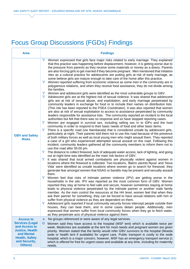#### Focus Group Discussions (FGDs) Findings

| <b>Area</b>                                                                                                                          | <b>Findings</b>                                                                                                                                                                                                                                                                                                                                                                                                                                                                                                                                                                                                                                                                                                                                                                                                                                                                                                                                                                                                                                                                                                                                                                                                                                                                                                                                                                                                                                                                                                                                                                                                                                                                                                                                                                                                                                                                                                                                                                                                                                                                                                                                                                                                                                                                                                                                                                                                                                                                                                                                                                                                                                                                                                                                                                                                                                                                                                                                                                                                                                                                                                                                                                                                                                                                                                                                                                                                                                                                                                                                                                                                                                                                                                                                                                               |  |  |  |
|--------------------------------------------------------------------------------------------------------------------------------------|-----------------------------------------------------------------------------------------------------------------------------------------------------------------------------------------------------------------------------------------------------------------------------------------------------------------------------------------------------------------------------------------------------------------------------------------------------------------------------------------------------------------------------------------------------------------------------------------------------------------------------------------------------------------------------------------------------------------------------------------------------------------------------------------------------------------------------------------------------------------------------------------------------------------------------------------------------------------------------------------------------------------------------------------------------------------------------------------------------------------------------------------------------------------------------------------------------------------------------------------------------------------------------------------------------------------------------------------------------------------------------------------------------------------------------------------------------------------------------------------------------------------------------------------------------------------------------------------------------------------------------------------------------------------------------------------------------------------------------------------------------------------------------------------------------------------------------------------------------------------------------------------------------------------------------------------------------------------------------------------------------------------------------------------------------------------------------------------------------------------------------------------------------------------------------------------------------------------------------------------------------------------------------------------------------------------------------------------------------------------------------------------------------------------------------------------------------------------------------------------------------------------------------------------------------------------------------------------------------------------------------------------------------------------------------------------------------------------------------------------------------------------------------------------------------------------------------------------------------------------------------------------------------------------------------------------------------------------------------------------------------------------------------------------------------------------------------------------------------------------------------------------------------------------------------------------------------------------------------------------------------------------------------------------------------------------------------------------------------------------------------------------------------------------------------------------------------------------------------------------------------------------------------------------------------------------------------------------------------------------------------------------------------------------------------------------------------------------------------------------------------------------------------------------------|--|--|--|
| <b>GBV and Safety</b><br><b>Risks</b>                                                                                                | ੱਹ੍ਰਾਂ<br>Women expressed that girls face major risks related to early marriage. They explained<br>that this practice was happening before displacement, however, it is getting worse due to<br>the pressure from parents as they receive some materials or money as a dowry. Parents<br>are also forcing girls to get married if they become pregnant. Men mentioned that initiation<br>rites as a cultural practice for adolescents are putting girls at risk of early marriage, as<br>some believe girls are mature enough to take care of the home after this practice.<br>∻ੌ੍ਰਾ<br>Women reported suffering from economic violence as some men in the community are in<br>polygamous relations, and when they receive food assistance, they do not divide among<br>the families.<br>ੌਹੂੰ<br>Women and adolescent girls were identified as the most vulnerable groups to GBV.<br>ੱਹੂੰ<br>Adolescent girls are at the highest risk of sexual violence. It was shared that adolescent<br>girls are at risk of sexual abuse, and exploitation, and early marriage perpetrated by<br>community leaders in exchange for food or to include their names on distribution lists.<br>(This risk has been reported to the PSEA Coordinator). It was also reported that women<br>are also at risk of sexual exploitation to access to assistance perpetrated by community<br>leaders responsible for assistance lists. The community reported an incident to the local<br>authorities but felt that there was no response and so have stopped reporting cases.<br>÷ά<br>Women are engaged in survival sex, including selling sex in to IDPs and the host<br>community in order to respond to their basic needs of food and other basic items.<br>ੱਹੂੰ<br>There is a specific road (via Nambavala) that is considered unsafe by adolescent girls,<br>particularly at night. Their parents told them not to use this road because of the presence<br>of both military forces as well as local young men who might assault them. They reported<br>a case of a girl who experienced attempted sexual assault on this road. Following this<br>incident, community leaders gathered all the community members to inform them not to<br>use this road after 05:00 pm.<br>ੱਹੂੰ<br>The distance to collect firewood, lack of adequate water access, lack of lighting, and going<br>out at night-time was identified as the main risk factors of GBV.<br>ੱਹ੍ਰਾਂ<br>It was shared that local armed combatants are physically violent against women in<br>locations where the firewood is collected. Two locations, 'Bairro Jacinto Nyusi' and 'Nova<br>Vida' were identified as unsafe locations where women go to search for firewood, they<br>generate fear amongst women that NSAG or bandits may be present and sexually assault<br>them.<br>ੌਹੂੰ<br>Women feel that risks of intimate partner violence (IPV) are getting worse in the<br>households in the site. IPV was reported as the most common form of GBV. Women<br>reported they stay at home to feel safe and secure, however sometimes staying at home<br>leads to physical violence perpetrated by the intimate partner or another male family<br>member. As the men control the resources at the HH level, women feel that when they<br>ask their partner for something, they can be forced to have sexual relations with him or<br>suffer from physical violence as they are dependent on them.<br>ੱਹੂੰ<br>Adolescent girls reported if local community security forces intercept people outside their<br>houses, they can beat them, and in some cases detain people. Additionally, men<br>expressed that women suffer from local community forces when they go to fetch water,<br>as they perpetrate acts of physical violence against them |  |  |  |
| <b>Access to</b>                                                                                                                     | No groups referenced or were aware of any legal services.<br>ch.                                                                                                                                                                                                                                                                                                                                                                                                                                                                                                                                                                                                                                                                                                                                                                                                                                                                                                                                                                                                                                                                                                                                                                                                                                                                                                                                                                                                                                                                                                                                                                                                                                                                                                                                                                                                                                                                                                                                                                                                                                                                                                                                                                                                                                                                                                                                                                                                                                                                                                                                                                                                                                                                                                                                                                                                                                                                                                                                                                                                                                                                                                                                                                                                                                                                                                                                                                                                                                                                                                                                                                                                                                                                                                                              |  |  |  |
| <b>Services (Legal</b><br>and Access to<br><b>Justice, Health</b><br>and Mental<br><b>Health, Safety</b><br>and Security,<br>Others) | $\circledcirc$<br>Women said they have access to the hospital (MSF tent) which is available twice per<br>week. Medicines are available at the tent for most needs and pregnant women are given<br>priority. Women stated that the family would refer GBV survivors to the hospital (Mueda<br>sede or health tent if available) for urgent care. Public transport is costly to the sede<br>hospital, which is a major concern, however, MSF has an emergency transport service (c<br>which is offered for free for urgent cases and available at any time, including for maternity<br>needs.                                                                                                                                                                                                                                                                                                                                                                                                                                                                                                                                                                                                                                                                                                                                                                                                                                                                                                                                                                                                                                                                                                                                                                                                                                                                                                                                                                                                                                                                                                                                                                                                                                                                                                                                                                                                                                                                                                                                                                                                                                                                                                                                                                                                                                                                                                                                                                                                                                                                                                                                                                                                                                                                                                                                                                                                                                                                                                                                                                                                                                                                                                                                                                                                   |  |  |  |
|                                                                                                                                      |                                                                                                                                                                                                                                                                                                                                                                                                                                                                                                                                                                                                                                                                                                                                                                                                                                                                                                                                                                                                                                                                                                                                                                                                                                                                                                                                                                                                                                                                                                                                                                                                                                                                                                                                                                                                                                                                                                                                                                                                                                                                                                                                                                                                                                                                                                                                                                                                                                                                                                                                                                                                                                                                                                                                                                                                                                                                                                                                                                                                                                                                                                                                                                                                                                                                                                                                                                                                                                                                                                                                                                                                                                                                                                                                                                                               |  |  |  |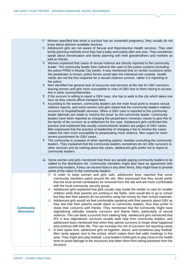|                                       | $\mathcal{D}$ Women specified that when a survivor has an unwanted pregnancy, they usually do not<br>know about abortion available services.<br>❤<br>Adolescent girls are not aware of Sexual and Reproductive Health services. They start<br>family planning methods once they had a baby and mainly after one year. They sometimes<br>speak about menstruation and family planning with their grandmothers and mothers as<br>well as friends.                                                                                                                                                                                                                                                                                                                                                                                                                                                                                                                                                                                                                                                                                                                                                                                                                                                                                                                                                                                                                                                                                                                                                                                                                                                                  |
|---------------------------------------|------------------------------------------------------------------------------------------------------------------------------------------------------------------------------------------------------------------------------------------------------------------------------------------------------------------------------------------------------------------------------------------------------------------------------------------------------------------------------------------------------------------------------------------------------------------------------------------------------------------------------------------------------------------------------------------------------------------------------------------------------------------------------------------------------------------------------------------------------------------------------------------------------------------------------------------------------------------------------------------------------------------------------------------------------------------------------------------------------------------------------------------------------------------------------------------------------------------------------------------------------------------------------------------------------------------------------------------------------------------------------------------------------------------------------------------------------------------------------------------------------------------------------------------------------------------------------------------------------------------------------------------------------------------------------------------------------------------|
|                                       | 价<br>Women explained that cases of sexual violence are directly reported to the community<br>leader. The community leader then redirects the case to the justice systems (including<br>the police-PRM) in Mueda City (sede). It was mentioned that on certain occasions when<br>the perpetrator is known, police forces would take the individual into custody. Health<br>needs are not the first response for a sexual violence survivor, rather it is reporting to<br>the police.                                                                                                                                                                                                                                                                                                                                                                                                                                                                                                                                                                                                                                                                                                                                                                                                                                                                                                                                                                                                                                                                                                                                                                                                                              |
|                                       | Ť<br>Men identified the general lack of resources and services at the site for GBV survivors,<br>leaving women and girls more susceptible to risks of GBV due to them having to access<br>this in other communities/sites.<br>$\ddot{\Upsilon}$<br>If the survivor is willing to report a GBV case, she has to walk to the city which takes one                                                                                                                                                                                                                                                                                                                                                                                                                                                                                                                                                                                                                                                                                                                                                                                                                                                                                                                                                                                                                                                                                                                                                                                                                                                                                                                                                                  |
|                                       | hour as they cannot afford transport fees.<br>筆<br>According to the women, community leaders are the main focal point to receive sexual<br>violence reports, and some women and girls stated that the community leaders redirect<br>survivors to hospital/health services. When a GBV case is reported to the community<br>leader attempts are made to 'resolve the issue' by the community leader. Community<br>leaders have been reported as charging the perpetrators monetary values to give this to<br>the family of the survivor as a settlement for the case. Adolescent girls confirmed this<br>practice and explained that usually communitarian leaders are judges of GBV cases.<br>Men expressed that the practice of leadership of charging a fee to resolve the cases<br>makes the men more susceptible to perpetuating more violence. Men urged for more<br>severe punishment for GBV cases.                                                                                                                                                                                                                                                                                                                                                                                                                                                                                                                                                                                                                                                                                                                                                                                                       |
|                                       | 价<br>The community is unaware of other reporting options, besides consulting the community<br>leaders. They explained that the community leaders sometimes do not refer survivors to<br>other services and do nothing about the cases, adolescent girls prefer not to report to<br>community leaders.                                                                                                                                                                                                                                                                                                                                                                                                                                                                                                                                                                                                                                                                                                                                                                                                                                                                                                                                                                                                                                                                                                                                                                                                                                                                                                                                                                                                            |
|                                       | $\Rightarrow$<br>Some women and girls mentioned that there are people paying community leaders to be<br>added to the distribution list. Community members might also have an agreement with<br>community leaders, if they can receive food or any other items, they might have to provide<br>some of the ration to the community leaders.                                                                                                                                                                                                                                                                                                                                                                                                                                                                                                                                                                                                                                                                                                                                                                                                                                                                                                                                                                                                                                                                                                                                                                                                                                                                                                                                                                        |
| <b>Community</b><br><b>Structures</b> | In order to keep women and girls safe, adolescent boys reported that some<br>₩<br>community members patrol around the site. Men expressed that they would prefer<br>that the local armed combatants be removed from the site and are more comfortable<br>with the local community security group.<br>爨<br>Adolescent girls explained that girls usually stay inside the shelter to care for smaller<br>children while their parents are working in the fields. Girls would like to go to school<br>but they feel their parents do not prioritize using the money for their school materials.<br>Adolescent girls would not feel comfortable speaking with their parents about GBV as<br>禜<br>they feel that their parents would report to community leaders, thus they prefer to<br>share their concerns with friends. They mentioned that the community might have<br>stigmatizing attitudes towards survivors and blame them, particularly of sexual<br>violence. This can deter a survivor from seeking help. Adolescent girls mentioned that<br>IPV is less stigmatized: survivors usually seek help from community leaders, and<br>adolescent boys mentioned that when they advise survivors to forget what happened<br>and continue with their life. This can increase the risk of survivors not reporting cases<br>爨<br>In their spare time, adolescent girls sit together, dance, and sometimes play football.<br>Men rarely appear next to the school, which makes them feel safer meetings in this<br>area. They might also play football. Local leaders forbid girls to play close to the health<br>tents to avoid damage to the structures and deter them from taking bamboos from the<br>structure. |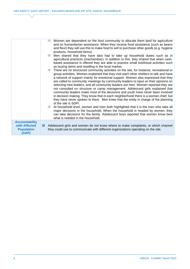|                                                                      | Women are dependent on the host community to allocate them land for agriculture<br>and on humanitarian assistance. When they receive food assistance (such as beans<br>and flour) they will use this to make food to sell to purchase other goods (e.g. hygiene<br>products, household items).                                                                                                                                                                                                                                                                                                                                                                                                                                                                                                                                                                                                                                                                                                                                                                                                                                        |
|----------------------------------------------------------------------|---------------------------------------------------------------------------------------------------------------------------------------------------------------------------------------------------------------------------------------------------------------------------------------------------------------------------------------------------------------------------------------------------------------------------------------------------------------------------------------------------------------------------------------------------------------------------------------------------------------------------------------------------------------------------------------------------------------------------------------------------------------------------------------------------------------------------------------------------------------------------------------------------------------------------------------------------------------------------------------------------------------------------------------------------------------------------------------------------------------------------------------|
|                                                                      | Men shared that they have also had to take up household duties such as in<br>燃<br>agricultural practices (machambas). In addition to this, they shared that when cash-<br>based assistance is offered they are able to practice small livelihood activities such<br>as buying items and reselling in the local market.                                                                                                                                                                                                                                                                                                                                                                                                                                                                                                                                                                                                                                                                                                                                                                                                                |
|                                                                      | There are no structured community activities on the site, for instance, recreational or<br>礯<br>group activities. Women explained that they visit each other shelters to talk and have<br>a network of support mainly for emotional support. Women also expressed that they<br>are called to community meetings by community leaders to input on their opinions on<br>selecting new leaders, and all community leaders are men. Women reported they are<br>not consulted on structure or camp management. Adolescent girls explained that<br>community leaders make most of the decisions and youth have never been involved<br>in decision making. They know that in each neighborhood there is a woman chief, but<br>they have never spoken to them. Men knew that the entity in charge of the planning<br>of the site is SDPI.<br>At household level, women and men both highlighted that it is the men who take all<br>4<br>major decisions in the household. When the household is headed by women, they<br>can take decisions for the family. Adolescent boys reported that women know best<br>what is needed in the household. |
| <b>Accountability</b><br>with Affected<br><b>Population</b><br>(AAP) | Adolescent girls and women do not know where to make complaints, or which channel<br>Ю.<br>they could use to communicate with different organizations operating on the site.                                                                                                                                                                                                                                                                                                                                                                                                                                                                                                                                                                                                                                                                                                                                                                                                                                                                                                                                                          |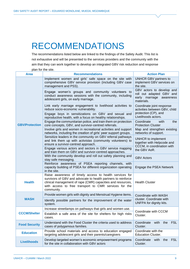### RECOMMENDATIONS

The recommendations listed below are linked to the findings of the Safety Audit. This list is not exhaustive and will be presented to the services providers and the community with the aim that they can work together to develop an integrated GBV risk reduction and response plan for the site.

| <b>Area</b>           | <b>Recommendations</b>                                                                                                                                                                                                                                         | <b>Action Plan</b>                                                                              |  |
|-----------------------|----------------------------------------------------------------------------------------------------------------------------------------------------------------------------------------------------------------------------------------------------------------|-------------------------------------------------------------------------------------------------|--|
| <b>GBV/Protection</b> | Implement women and girls' safe space on the site with<br>comprehensive GBV service provision (including GBV case<br>management and PSS).                                                                                                                      | UNHCR GBV partners to<br>implement GBV services on<br>the site.                                 |  |
|                       | Engage women's groups and community volunteers to<br>conduct awareness sessions with the community, including<br>adolescent girls, on early marriage.                                                                                                          | GBV actors to develop and<br>roll out adapted GBV and<br>early marriage awareness<br>materials. |  |
|                       | Link early marriage engagement to livelihood activities to<br>reduce socio-economic vulnerability.                                                                                                                                                             | Coordinate joint response<br>activities between GBV, child                                      |  |
|                       | Engage boys in sensitizations on GBV and sexual and<br>reproductive health, with a focus on healthy relationships.                                                                                                                                             | protection (CP), and<br>Livelihoods actors.                                                     |  |
|                       | Engage the communitarian police, and train them on protection<br>core concepts, GBV, and survivor-centred referrals.                                                                                                                                           | Coordinate<br>with<br>the<br><b>Protection Cluster</b>                                          |  |
|                       | Involve girls and women in recreational activities and support<br>networks, including the creation of girls' peer support groups.                                                                                                                              | Map and strengthen existing<br>networks of support.                                             |  |
|                       | Sensitize leaders in the community on GBV referral pathways<br>and link them up with activistas (community volunteers) to<br>ensure a survivor-centred approach.                                                                                               | UNHCR to implement<br>together with Helpcode and<br>CCCM, in coordination with<br>the GBV AoR.  |  |
|                       | Engage various actors and sectors in GBV service mapping<br>and train them on GBV and survivor-centred approaches.                                                                                                                                             |                                                                                                 |  |
|                       | With the community develop and roll out safety planning and<br>stay safe messaging.                                                                                                                                                                            | <b>GBV Actors</b>                                                                               |  |
|                       | Reinforce awareness of PSEA reporting channels, with<br>capacity building of PSEA for different organization operating<br>in the site.                                                                                                                         | Engage the PSEA Network                                                                         |  |
| <b>Health</b>         | Raise awareness of timely access to health services for<br>survivors of GBV and advocate to health partners to reinforce<br>clinical management of rape (CMR) capacities and resources,<br>with access to free transport to CMR services for the<br>community. | <b>Health Cluster</b>                                                                           |  |
|                       | Provide women girls with dignity and Menstrual Hygiene items.                                                                                                                                                                                                  | Coordinate with WASH<br>cluster. Coordinate with<br>UNFPA for dignity kits.                     |  |
| <b>WASH</b>           | Identify possible partners for the improvement of the water<br>system.                                                                                                                                                                                         |                                                                                                 |  |
| <b>CCCM/Shelter</b>   | Increase streetlamps on pathways that girls and women use.                                                                                                                                                                                                     | Coordinate with CCCM<br>Cluster.                                                                |  |
|                       | Establish a safe area of the site for shelters for high risks<br>cases.                                                                                                                                                                                        |                                                                                                 |  |
| <b>Food Security</b>  | Understand with the Food Cluster the criteria used to address<br>cases of polygamous families.                                                                                                                                                                 | Coordinate<br>with<br><b>FSL</b><br>the<br>Cluster.                                             |  |
| <b>Education</b>      | Provide school materials and access to education engaged<br>targeting adolescent girls and their parents/caregivers                                                                                                                                            | Coordinate with the<br><b>Education Cluster.</b>                                                |  |
| <b>Livelihoods</b>    | Develop targeted women's economic empowerment programs<br>for the site in collaboration with GBV actors                                                                                                                                                        | Coordinate<br><b>FSL</b><br>with<br>the<br>Cluster.                                             |  |